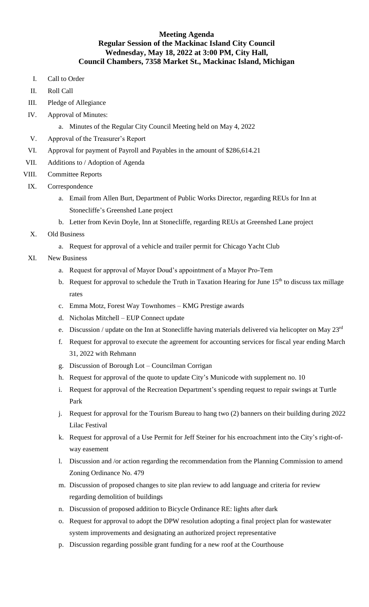## **Meeting Agenda Regular Session of the Mackinac Island City Council Wednesday, May 18, 2022 at 3:00 PM, City Hall, Council Chambers, 7358 Market St., Mackinac Island, Michigan**

- I. Call to Order
- II. Roll Call
- III. Pledge of Allegiance
- IV. Approval of Minutes:
	- a. Minutes of the Regular City Council Meeting held on May 4, 2022
- V. Approval of the Treasurer's Report
- VI. Approval for payment of Payroll and Payables in the amount of \$286,614.21
- VII. Additions to / Adoption of Agenda
- VIII. Committee Reports
- IX. Correspondence
	- a. Email from Allen Burt, Department of Public Works Director, regarding REUs for Inn at Stonecliffe's Greenshed Lane project
	- b. Letter from Kevin Doyle, Inn at Stonecliffe, regarding REUs at Greenshed Lane project
- X. Old Business
	- a. Request for approval of a vehicle and trailer permit for Chicago Yacht Club
- XI. New Business
	- a. Request for approval of Mayor Doud's appointment of a Mayor Pro-Tem
	- b. Request for approval to schedule the Truth in Taxation Hearing for June  $15<sup>th</sup>$  to discuss tax millage rates
	- c. Emma Motz, Forest Way Townhomes KMG Prestige awards
	- d. Nicholas Mitchell EUP Connect update
	- e. Discussion / update on the Inn at Stonecliffe having materials delivered via helicopter on May 23rd
	- f. Request for approval to execute the agreement for accounting services for fiscal year ending March 31, 2022 with Rehmann
	- g. Discussion of Borough Lot Councilman Corrigan
	- h. Request for approval of the quote to update City's Municode with supplement no. 10
	- i. Request for approval of the Recreation Department's spending request to repair swings at Turtle Park
	- j. Request for approval for the Tourism Bureau to hang two (2) banners on their building during 2022 Lilac Festival
	- k. Request for approval of a Use Permit for Jeff Steiner for his encroachment into the City's right-ofway easement
	- l. Discussion and /or action regarding the recommendation from the Planning Commission to amend Zoning Ordinance No. 479
	- m. Discussion of proposed changes to site plan review to add language and criteria for review regarding demolition of buildings
	- n. Discussion of proposed addition to Bicycle Ordinance RE: lights after dark
	- o. Request for approval to adopt the DPW resolution adopting a final project plan for wastewater system improvements and designating an authorized project representative
	- p. Discussion regarding possible grant funding for a new roof at the Courthouse